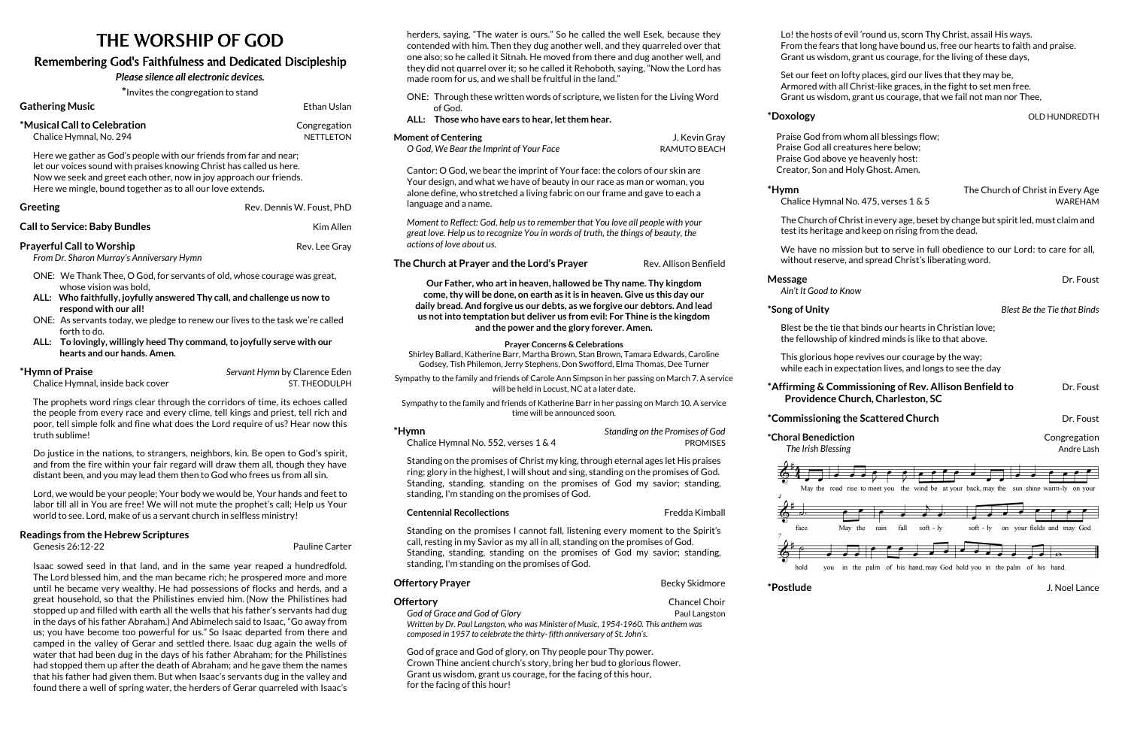# THE WORSHIP OF GOD

## Remembering God's Faithfulness and Dedicated Discipleship

### *Please silence all electronic devices.*

**\***Invites the congregation to stand

**Gathering Music Ethan Uslan** Ethan Uslan **\*Musical Call to Celebration** Congregation **Chalice Hymnal, No. 294 NETTLETON** 

Here we gather as God's people with our friends from far and near; let our voices sound with praises knowing Christ has called us here. Now we seek and greet each other, now in joy approach our friends. Here we mingle, bound together as to all our love extends**.**

| <b>Greeting</b>                      | Rev. Dennis W. Foust. PhD |
|--------------------------------------|---------------------------|
| <b>Call to Service: Baby Bundles</b> | Kim Allen                 |

### **Prayerful Call to Worship Rev. Lee Gray**

*From Dr. Sharon Murray's Anniversary Hymn*

- ONE: We Thank Thee, O God, for servants of old, whose courage was great, whose vision was bold,
- **ALL: Who faithfully, joyfully answered Thy call, and challenge us now to respond with our all!**
- ONE: As servants today, we pledge to renew our lives to the task we're called forth to do.
- **ALL: To lovingly, willingly heed Thy command, to joyfully serve with our hearts and our hands. Amen.**
- **\*Hymn of Praise** *Servant Hymn* by Clarence Eden

Chalice Hymnal, inside back cover ST. THEODULPH

The prophets word rings clear through the corridors of time, its echoes called the people from every race and every clime, tell kings and priest, tell rich and poor, tell simple folk and fine what does the Lord require of us? Hear now this truth sublime!

Do justice in the nations, to strangers, neighbors, kin. Be open to God's spirit, and from the fire within your fair regard will draw them all, though they have distant been, and you may lead them then to God who frees us from all sin.

Lord, we would be your people; Your body we would be, Your hands and feet to labor till all in You are free! We will not mute the prophet's call; Help us Your world to see. Lord, make of us a servant church in selfless ministry!

#### **Readings from the Hebrew Scriptures**

Genesis 26:12-22Pauline Carter

| *Hymn                                   | Standing on the Promises of God |
|-----------------------------------------|---------------------------------|
| Chalice Hymnal No. 552, verses $1 \& 4$ | PROMISES                        |

Isaac sowed seed in that land, and in the same year reaped a hundredfold. The Lord blessed him, and the man became rich; he prospered more and more until he became very wealthy. He had possessions of flocks and herds, and a great household, so that the Philistines envied him. (Now the Philistines had stopped up and filled with earth all the wells that his father's servants had dug in the days of his father Abraham.) And Abimelech said to Isaac, "Go away from us; you have become too powerful for us." So Isaac departed from there and camped in the valley of Gerar and settled there. Isaac dug again the wells of water that had been dug in the days of his father Abraham; for the Philistines had stopped them up after the death of Abraham; and he gave them the names that his father had given them. But when Isaac's servants dug in the valley and found there a well of spring water, the herders of Gerar quarreled with Isaac's

**God of Grace and God of Glory Paul Langston** *Written by Dr. Paul Langston, who was Minister of Music, 1954-1960. This anthem was composed in 1957 to celebrate the thirty- fifth anniversary of St. John's.*

**Message** Dr. Foust Dr. Foust Dr. Foust Dr. Foust Dr. Foust Dr. Foust Dr. Foust Dr. Foust Dr. Foust Dr. Foust Dr. Foust Dr. Foust Dr. Foust Dr. Foust Dr. Foust Dr. Foust Dr. Foust Dr. Foust Dr. Foust Dr. Foust Dr. Foust Dr *Ain't It Good to Know*



#### **\*Affirming & Commissioning of Rev. Allison Benfield to** Dr. Foust  **Providence Church, Charleston, SC**

#### **\*Commissioning the Scattered Church** The Scatter Dr. Foust

**\*Choral Benediction** Congregation *The Irish Blessing* **Andre Lash** *Andre Lash* **<b>Andre Lash Andre Lash Andre Lash** 

herders, saying, "The water is ours." So he called the well Esek, because they contended with him. Then they dug another well, and they quarreled over that one also; so he called it Sitnah. He moved from there and dug another well, and they did not quarrel over it; so he called it Rehoboth, saying, "Now the Lord has made room for us, and we shall be fruitful in the land." ONE: Through these written words of scripture, we listen for the Living Word of God. **ALL: Those who have ears to hear, let them hear. Moment of Centering** <br> **Moment of Centering**   $\qquad \qquad$  **J. Kevin Gray** *O God, We Bear the Imprint of Your Face* RAMUTO BEACH Cantor: O God, we bear the imprint of Your face: the colors of our skin are Your design, and what we have of beauty in our race as man or woman, you alone define, who stretched a living fabric on our frame and gave to each a language and a name. *Moment to Reflect: God, help us to remember that You love all people with your great love. Help us to recognize You in words of truth, the things of beauty, the actions of love about us.* **The Church at Prayer and the Lord's Prayer** Rev. Allison Benfield **Our Father, who art in heaven, hallowed be Thy name. Thy kingdom come, thy will be done, on earth as it is in heaven. Give us this day our daily bread. And forgive us our debts, as we forgive our debtors. And lead us not into temptation but deliver us from evil: For Thine is the kingdom and the power and the glory forever. Amen. Prayer Concerns & Celebrations** Shirley Ballard, Katherine Barr, Martha Brown, Stan Brown, Tamara Edwards, Caroline Godsey, Tish Philemon, Jerry Stephens, Don Swofford, Elma Thomas, Dee Turner

Sympathy to the family and friends of Carole Ann Simpson in her passing on March 7. A service will be held in Locust, NC at a later date.

Sympathy to the family and friends of Katherine Barr in her passing on March 10. A service time will be announced soon.

Standing on the promises of Christ my king, through eternal ages let His praises ring; glory in the highest, I will shout and sing, standing on the promises of God. Standing, standing, standing on the promises of God my savior; standing, standing, I'm standing on the promises of God.

**Centennial Recollections** Fredda Kimball

Standing on the promises I cannot fall, listening every moment to the Spirit's call, resting in my Savior as my all in all, standing on the promises of God. Standing, standing, standing on the promises of God my savior; standing, standing, I'm standing on the promises of God.

#### **Offertory Prayer Becky Skidmore Becky Skidmore**

#### **Offertory Chancel Choir Chancel Choir**

God of grace and God of glory, on Thy people pour Thy power. Crown Thine ancient church's story, bring her bud to glorious flower. Grant us wisdom, grant us courage, for the facing of this hour, for the facing of this hour!

Lo! the hosts of evil 'round us, scorn Thy Christ, assail His ways. From the fears that long have bound us, free our hearts to faith and praise. Grant us wisdom, grant us courage, for the living of these days,

 $*$ **Doxology bidding the contract of the contract of the contract of the contract of the contract of the contract of the contract of the contract of the contract of the contract of the contract of the contract of the con** 

Chalice Hymnal No. 475, verses 1 & 5

Set our feet on lofty places, gird our lives that they may be, Armored with all Christ-like graces, in the fight to set men free. Grant us wisdom, grant us courage**,** that we fail not man nor Thee,

 Praise God from whom all blessings flow; Praise God all creatures here below; Praise God above ye heavenly host: Creator, Son and Holy Ghost. Amen.

**\*Hymn** The Church of Christ in Every Age

The Church of Christ in every age, beset by change but spirit led, must claim and test its heritage and keep on rising from the dead.

We have no mission but to serve in full obedience to our Lord: to care for all, without reserve, and spread Christ's liberating word.

**\*Song of Unity** *Blest Be the Tie that Binds*

Blest be the tie that binds our hearts in Christian love; the fellowship of kindred minds is like to that above.

This glorious hope revives our courage by the way; while each in expectation lives, and longs to see the day

**\*Postlude** J. Noel Lance